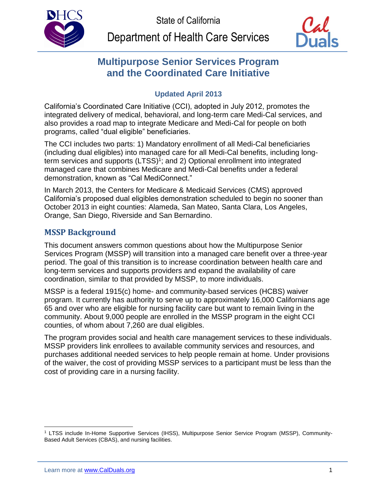



# **Multipurpose Senior Services Program and the Coordinated Care Initiative**

# **Updated April 2013**

California's Coordinated Care Initiative (CCI), adopted in July 2012, promotes the integrated delivery of medical, behavioral, and long-term care Medi-Cal services, and also provides a road map to integrate Medicare and Medi-Cal for people on both programs, called "dual eligible" beneficiaries.

The CCI includes two parts: 1) Mandatory enrollment of all Medi-Cal beneficiaries (including dual eligibles) into managed care for all Medi-Cal benefits, including longterm services and supports (LTSS) 1 ; and 2) Optional enrollment into integrated managed care that combines Medicare and Medi-Cal benefits under a federal demonstration, known as "Cal MediConnect."

In March 2013, the Centers for Medicare & Medicaid Services (CMS) approved California's proposed dual eligibles demonstration scheduled to begin no sooner than October 2013 in eight counties: Alameda, San Mateo, Santa Clara, Los Angeles, Orange, San Diego, Riverside and San Bernardino.

# **MSSP Background**

This document answers common questions about how the Multipurpose Senior Services Program (MSSP) will transition into a managed care benefit over a three-year period. The goal of this transition is to increase coordination between health care and long-term services and supports providers and expand the availability of care coordination, similar to that provided by MSSP, to more individuals.

MSSP is a federal 1915(c) home- and community-based services (HCBS) waiver program. It currently has authority to serve up to approximately 16,000 Californians age 65 and over who are eligible for nursing facility care but want to remain living in the community. About 9,000 people are enrolled in the MSSP program in the eight CCI counties, of whom about 7,260 are dual eligibles.

The program provides social and health care management services to these individuals. MSSP providers link enrollees to available community services and resources, and purchases additional needed services to help people remain at home. Under provisions of the waiver, the cost of providing MSSP services to a participant must be less than the cost of providing care in a nursing facility.

 $\overline{a}$ <sup>1</sup> LTSS include In-Home Supportive Services (IHSS), Multipurpose Senior Service Program (MSSP), Community-Based Adult Services (CBAS), and nursing facilities.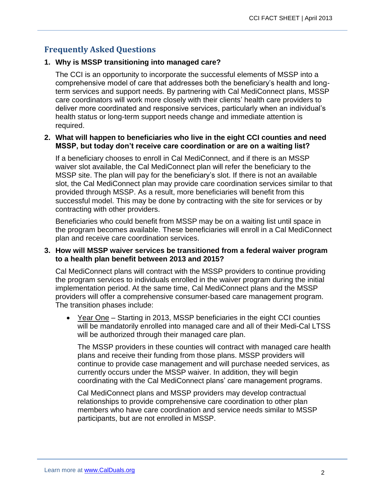# **Frequently Asked Questions**

## **1. Why is MSSP transitioning into managed care?**

The CCI is an opportunity to incorporate the successful elements of MSSP into a comprehensive model of care that addresses both the beneficiary's health and longterm services and support needs. By partnering with Cal MediConnect plans, MSSP care coordinators will work more closely with their clients' health care providers to deliver more coordinated and responsive services, particularly when an individual's health status or long-term support needs change and immediate attention is required.

#### **2. What will happen to beneficiaries who live in the eight CCI counties and need MSSP, but today don't receive care coordination or are on a waiting list?**

If a beneficiary chooses to enroll in Cal MediConnect, and if there is an MSSP waiver slot available, the Cal MediConnect plan will refer the beneficiary to the MSSP site. The plan will pay for the beneficiary's slot. If there is not an available slot, the Cal MediConnect plan may provide care coordination services similar to that provided through MSSP. As a result, more beneficiaries will benefit from this successful model. This may be done by contracting with the site for services or by contracting with other providers.

Beneficiaries who could benefit from MSSP may be on a waiting list until space in the program becomes available. These beneficiaries will enroll in a Cal MediConnect plan and receive care coordination services.

#### **3. How will MSSP waiver services be transitioned from a federal waiver program to a health plan benefit between 2013 and 2015?**

Cal MediConnect plans will contract with the MSSP providers to continue providing the program services to individuals enrolled in the waiver program during the initial implementation period. At the same time, Cal MediConnect plans and the MSSP providers will offer a comprehensive consumer-based care management program. The transition phases include:

 Year One – Starting in 2013, MSSP beneficiaries in the eight CCI counties will be mandatorily enrolled into managed care and all of their Medi-Cal LTSS will be authorized through their managed care plan.

The MSSP providers in these counties will contract with managed care health plans and receive their funding from those plans. MSSP providers will continue to provide case management and will purchase needed services, as currently occurs under the MSSP waiver. In addition, they will begin coordinating with the Cal MediConnect plans' care management programs.

Cal MediConnect plans and MSSP providers may develop contractual relationships to provide comprehensive care coordination to other plan members who have care coordination and service needs similar to MSSP participants, but are not enrolled in MSSP.